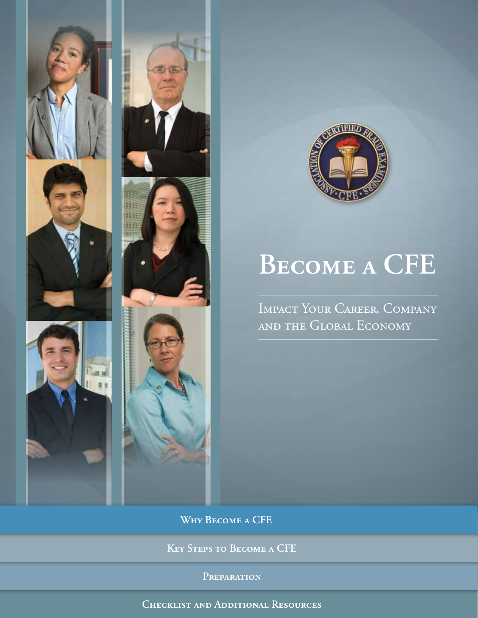



# **Become a CFE**

Impact Your Career, Company and the Global Economy

**Why Become a CFE**

**Key Steps to Become a CFE**

**Preparation**

**Checklist and Additional Resources**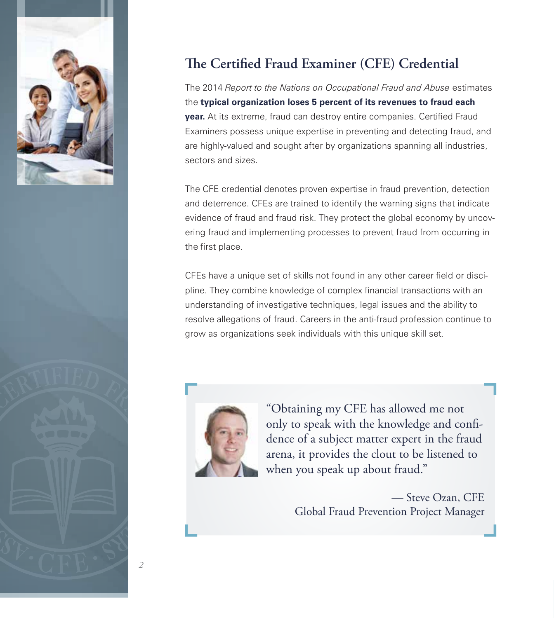

## **The Certified Fraud Examiner (CFE) Credential**

The 2014 *Report to the Nations on Occupational Fraud and Abuse* estimates the **typical organization loses 5 percent of its revenues to fraud each year.** At its extreme, fraud can destroy entire companies. Certified Fraud Examiners possess unique expertise in preventing and detecting fraud, and are highly-valued and sought after by organizations spanning all industries, sectors and sizes.

The CFE credential denotes proven expertise in fraud prevention, detection and deterrence. CFEs are trained to identify the warning signs that indicate evidence of fraud and fraud risk. They protect the global economy by uncovering fraud and implementing processes to prevent fraud from occurring in the first place.

CFEs have a unique set of skills not found in any other career field or discipline. They combine knowledge of complex financial transactions with an understanding of investigative techniques, legal issues and the ability to resolve allegations of fraud. Careers in the anti-fraud profession continue to grow as organizations seek individuals with this unique skill set.



"Obtaining my CFE has allowed me not only to speak with the knowledge and confidence of a subject matter expert in the fraud arena, it provides the clout to be listened to when you speak up about fraud."

> — Steve Ozan, CFE Global Fraud Prevention Project Manager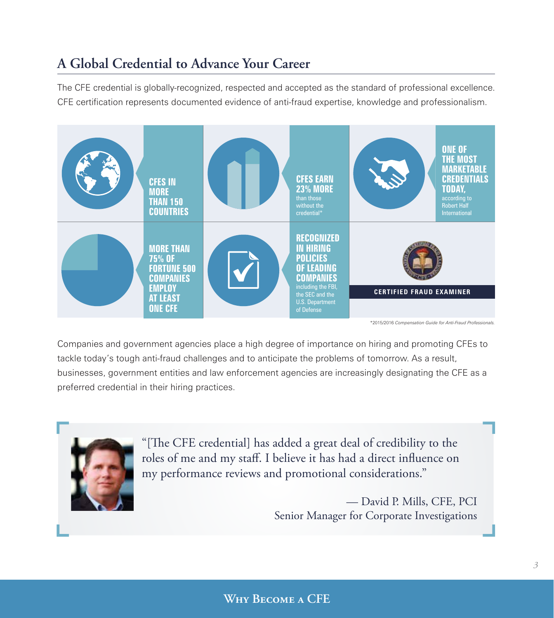## **A Global Credential to Advance Your Career**

The CFE credential is globally-recognized, respected and accepted as the standard of professional excellence. CFE certification represents documented evidence of anti-fraud expertise, knowledge and professionalism.



\*2015/2016 *Compensation Guide for Anti-Fraud Professionals.*

Companies and government agencies place a high degree of importance on hiring and promoting CFEs to tackle today's tough anti-fraud challenges and to anticipate the problems of tomorrow. As a result, businesses, government entities and law enforcement agencies are increasingly designating the CFE as a preferred credential in their hiring practices.



"[The CFE credential] has added a great deal of credibility to the roles of me and my staff. I believe it has had a direct influence on my performance reviews and promotional considerations."

> — David P. Mills, CFE, PCI Senior Manager for Corporate Investigations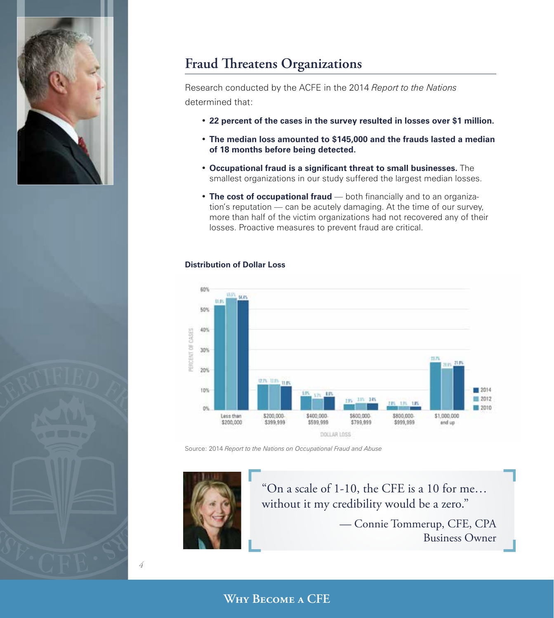

## **Fraud Threatens Organizations**

Research conducted by the ACFE in the 2014 *Report to the Nations*  determined that:

- **22 percent of the cases in the survey resulted in losses over \$1 million.**
- **The median loss amounted to \$145,000 and the frauds lasted a median of 18 months before being detected.**
- **Occupational fraud is a significant threat to small businesses.** The smallest organizations in our study suffered the largest median losses.
- **The cost of occupational fraud** both financially and to an organization's reputation — can be acutely damaging. At the time of our survey, more than half of the victim organizations had not recovered any of their losses. Proactive measures to prevent fraud are critical.

#### **Distribution of Dollar Loss**



Source: 2014 *Report to the Nations on Occupational Fraud and Abuse*



*4*

"On a scale of 1-10, the CFE is a 10 for me… without it my credibility would be a zero."

> — Connie Tommerup, CFE, CPA Business Owner

**Why Become a CFE**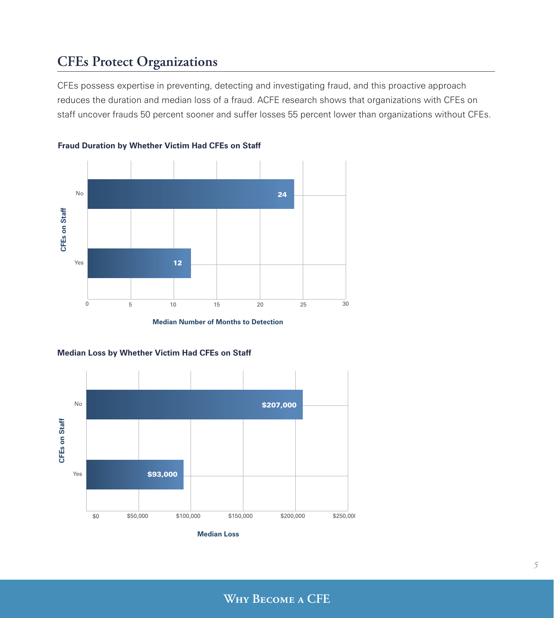### **CFEs Protect Organizations**

CFEs possess expertise in preventing, detecting and investigating fraud, and this proactive approach reduces the duration and median loss of a fraud. ACFE research shows that organizations with CFEs on staff uncover frauds 50 percent sooner and suffer losses 55 percent lower than organizations without CFEs.





**Median Number of Months to Detection**



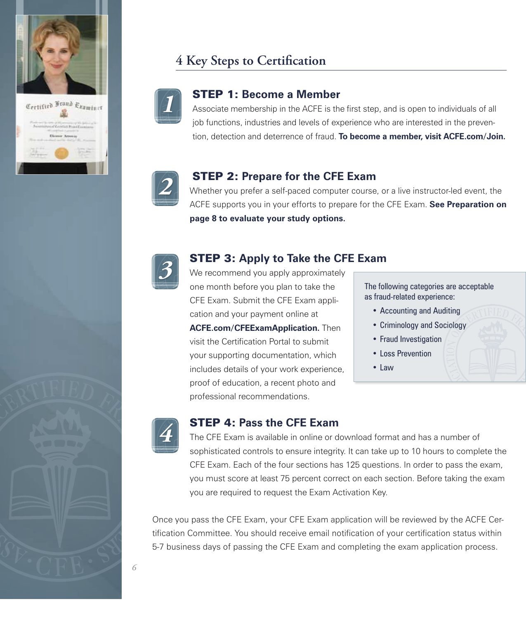



## **4 Key Steps to Certification**



#### STEP 1: **Become a Member**

Associate membership in the ACFE is the first step, and is open to individuals of all job functions, industries and levels of experience who are interested in the prevention, detection and deterrence of fraud. **To become a member, visit ACFE.com/Join.**



#### STEP 2: **Prepare for the CFE Exam**

Whether you prefer a self-paced computer course, or a live instructor-led event, the ACFE supports you in your efforts to prepare for the CFE Exam. **See Preparation on page 8 to evaluate your study options.**



#### STEP 3: **Apply to Take the CFE Exam**

We recommend you apply approximately one month before you plan to take the CFE Exam. Submit the CFE Exam application and your payment online at **ACFE.com/CFEExamApplication.** Then visit the Certification Portal to submit your supporting documentation, which includes details of your work experience, proof of education, a recent photo and professional recommendations.

The following categories are acceptable as fraud-related experience:

- Accounting and Auditing
- Criminology and Sociology
- Fraud Investigation
- Loss Prevention
- Law



#### STEP 4: **Pass the CFE Exam**

The CFE Exam is available in online or download format and has a number of sophisticated controls to ensure integrity. It can take up to 10 hours to complete the CFE Exam. Each of the four sections has 125 questions. In order to pass the exam, you must score at least 75 percent correct on each section. Before taking the exam you are required to request the Exam Activation Key.

Once you pass the CFE Exam, your CFE Exam application will be reviewed by the ACFE Certification Committee. You should receive email notification of your certification status within 5-7 business days of passing the CFE Exam and completing the exam application process.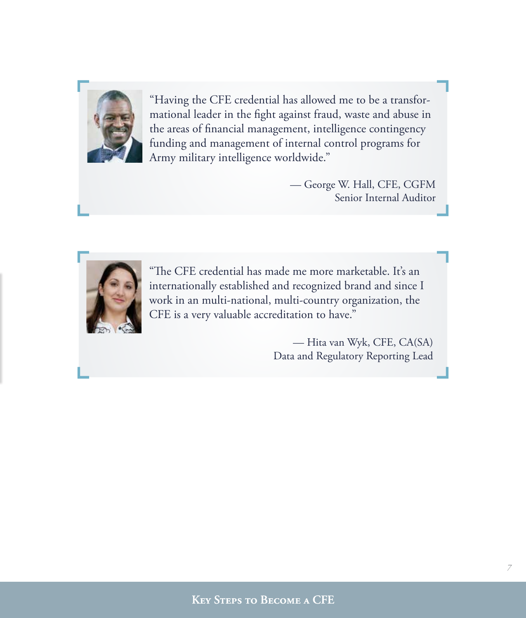

"Having the CFE credential has allowed me to be a transformational leader in the fight against fraud, waste and abuse in the areas of financial management, intelligence contingency funding and management of internal control programs for Army military intelligence worldwide."

> — George W. Hall, CFE, CGFM Senior Internal Auditor



"The CFE credential has made me more marketable. It's an internationally established and recognized brand and since I work in an multi-national, multi-country organization, the CFE is a very valuable accreditation to have."

> — Hita van Wyk, CFE, CA(SA) Data and Regulatory Reporting Lead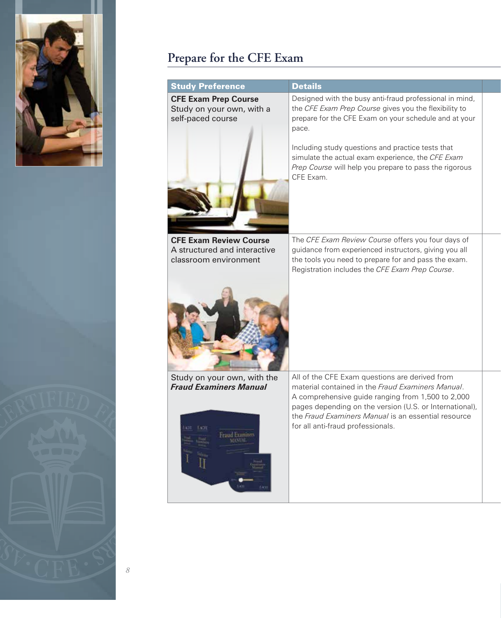



| <b>Study Preference</b>                                                                     | <b>Details</b>                                                                                                                                                                                                                                                                                                                                                      |  |
|---------------------------------------------------------------------------------------------|---------------------------------------------------------------------------------------------------------------------------------------------------------------------------------------------------------------------------------------------------------------------------------------------------------------------------------------------------------------------|--|
| <b>CFE Exam Prep Course</b><br>Study on your own, with a<br>self-paced course               | Designed with the busy anti-fraud professional in mind,<br>the CFE Exam Prep Course gives you the flexibility to<br>prepare for the CFE Exam on your schedule and at your<br>pace.<br>Including study questions and practice tests that<br>simulate the actual exam experience, the CFE Exam<br>Prep Course will help you prepare to pass the rigorous<br>CFE Exam. |  |
|                                                                                             |                                                                                                                                                                                                                                                                                                                                                                     |  |
| <b>CFE Exam Review Course</b><br>A structured and interactive<br>classroom environment      | The CFE Exam Review Course offers you four days of<br>guidance from experienced instructors, giving you all<br>the tools you need to prepare for and pass the exam.<br>Registration includes the CFE Exam Prep Course.                                                                                                                                              |  |
|                                                                                             |                                                                                                                                                                                                                                                                                                                                                                     |  |
| Study on your own, with the<br><b>Fraud Examiners Manual</b><br><b>EACH</b><br>raud Examine | All of the CFE Exam questions are derived from<br>material contained in the Fraud Examiners Manual.<br>A comprehensive guide ranging from 1,500 to 2,000<br>pages depending on the version (U.S. or International),<br>the Fraud Examiners Manual is an essential resource<br>for all anti-fraud professionals.                                                     |  |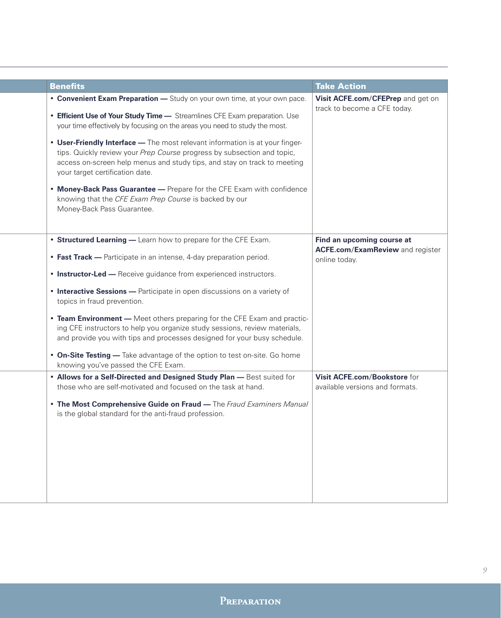| <b>Benefits</b>                                                                                                                                                                                                                                                                                                       | <b>Take Action</b>                                                                     |
|-----------------------------------------------------------------------------------------------------------------------------------------------------------------------------------------------------------------------------------------------------------------------------------------------------------------------|----------------------------------------------------------------------------------------|
| • Convenient Exam Preparation - Study on your own time, at your own pace.<br>• Efficient Use of Your Study Time - Streamlines CFE Exam preparation. Use<br>your time effectively by focusing on the areas you need to study the most.<br>• User-Friendly Interface - The most relevant information is at your finger- | Visit ACFE.com/CFEPrep and get on<br>track to become a CFE today.                      |
| tips. Quickly review your Prep Course progress by subsection and topic,<br>access on-screen help menus and study tips, and stay on track to meeting<br>your target certification date.                                                                                                                                |                                                                                        |
| • Money-Back Pass Guarantee - Prepare for the CFE Exam with confidence<br>knowing that the CFE Exam Prep Course is backed by our<br>Money-Back Pass Guarantee.                                                                                                                                                        |                                                                                        |
| • Structured Learning - Learn how to prepare for the CFE Exam.<br>• Fast Track - Participate in an intense, 4-day preparation period.                                                                                                                                                                                 | Find an upcoming course at<br><b>ACFE.com/ExamReview and register</b><br>online today. |
| • Instructor-Led - Receive guidance from experienced instructors.                                                                                                                                                                                                                                                     |                                                                                        |
| • Interactive Sessions - Participate in open discussions on a variety of<br>topics in fraud prevention.                                                                                                                                                                                                               |                                                                                        |
| • Team Environment - Meet others preparing for the CFE Exam and practic-<br>ing CFE instructors to help you organize study sessions, review materials,<br>and provide you with tips and processes designed for your busy schedule.                                                                                    |                                                                                        |
| • On-Site Testing - Take advantage of the option to test on-site. Go home<br>knowing you've passed the CFE Exam.                                                                                                                                                                                                      |                                                                                        |
| . Allows for a Self-Directed and Designed Study Plan - Best suited for<br>those who are self-motivated and focused on the task at hand.                                                                                                                                                                               | Visit ACFE.com/Bookstore for<br>available versions and formats.                        |
| . The Most Comprehensive Guide on Fraud - The Fraud Examiners Manual<br>is the global standard for the anti-fraud profession.                                                                                                                                                                                         |                                                                                        |
|                                                                                                                                                                                                                                                                                                                       |                                                                                        |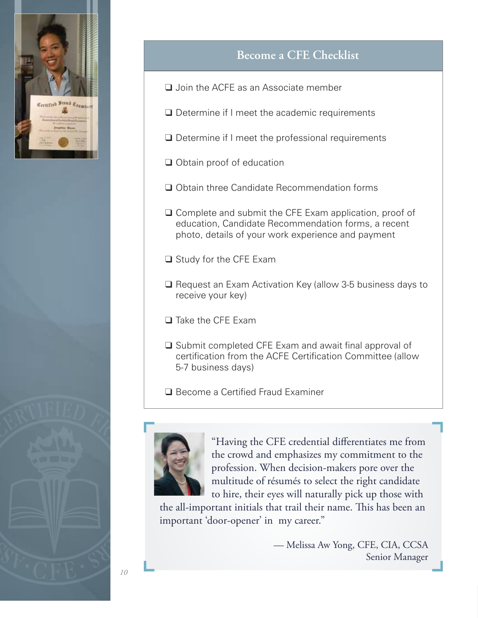

## **Become a CFE Checklist**

- ❑ Join the ACFE as an Associate member
- ❑ Determine if I meet the academic requirements
- ❑ Determine if I meet the professional requirements
- ❑ Obtain proof of education
- ❑ Obtain three Candidate Recommendation forms
- ❑ Complete and submit the CFE Exam application, proof of education, Candidate Recommendation forms, a recent photo, details of your work experience and payment
- ❑ Study for the CFE Exam
- ❑ Request an Exam Activation Key (allow 3-5 business days to receive your key)
- ❑ Take the CFE Exam
- ❑ Submit completed CFE Exam and await final approval of certification from the ACFE Certification Committee (allow 5-7 business days)
- ❑ Become a Certified Fraud Examiner



"Having the CFE credential differentiates me from the crowd and emphasizes my commitment to the profession. When decision-makers pore over the multitude of résumés to select the right candidate to hire, their eyes will naturally pick up those with

the all-important initials that trail their name. This has been an important 'door-opener' in my career."

> — Melissa Aw Yong, CFE, CIA, CCSA Senior Manager

*10*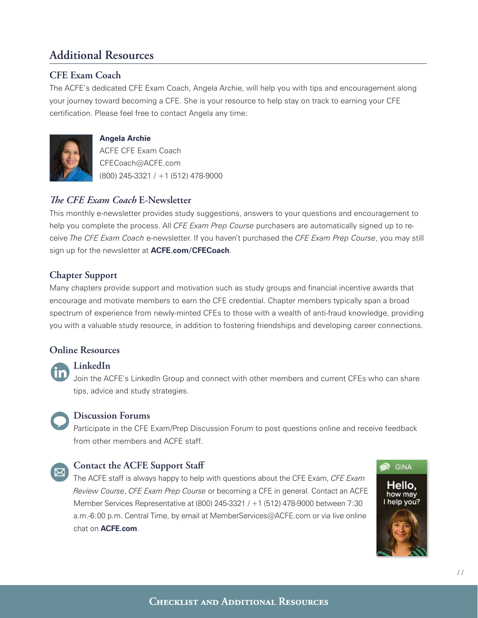## **Additional Resources**

#### **CFE Exam Coach**

The ACFE's dedicated CFE Exam Coach, Angela Archie, will help you with tips and encouragement along your journey toward becoming a CFE. She is your resource to help stay on track to earning your CFE certification. Please feel free to contact Angela any time:



#### **Angela Archie**

ACFE CFE Exam Coach CFECoach@ACFE.com (800) 245-3321 / +1 (512) 478-9000

#### *The CFE Exam Coach* **E-Newsletter**

This monthly e-newsletter provides study suggestions, answers to your questions and encouragement to help you complete the process. All *CFE Exam Prep Course* purchasers are automatically signed up to receive *The CFE Exam Coach* e-newsletter. If you haven't purchased the *CFE Exam Prep Course*, you may still sign up for the newsletter at **ACFE.com/CFECoach**.

#### **Chapter Support**

Many chapters provide support and motivation such as study groups and financial incentive awards that encourage and motivate members to earn the CFE credential. Chapter members typically span a broad spectrum of experience from newly-minted CFEs to those with a wealth of anti-fraud knowledge, providing you with a valuable study resource, in addition to fostering friendships and developing career connections.

#### **Online Resources**

#### **LinkedIn**

Join the ACFE's LinkedIn Group and connect with other members and current CFEs who can share tips, advice and study strategies.



#### **Discussion Forums**

Participate in the CFE Exam/Prep Discussion Forum to post questions online and receive feedback from other members and ACFE staff.

#### **Contact the ACFE Support Staff**

The ACFE staff is always happy to help with questions about the CFE Exam, *CFE Exam Review Course*, *CFE Exam Prep Course* or becoming a CFE in general. Contact an ACFE Member Services Representative at (800) 245-3321 / +1 (512) 478-9000 between 7:30 a.m.-6:00 p.m. Central Time, by email at MemberServices@ACFE.com or via live online chat on **ACFE.com**.